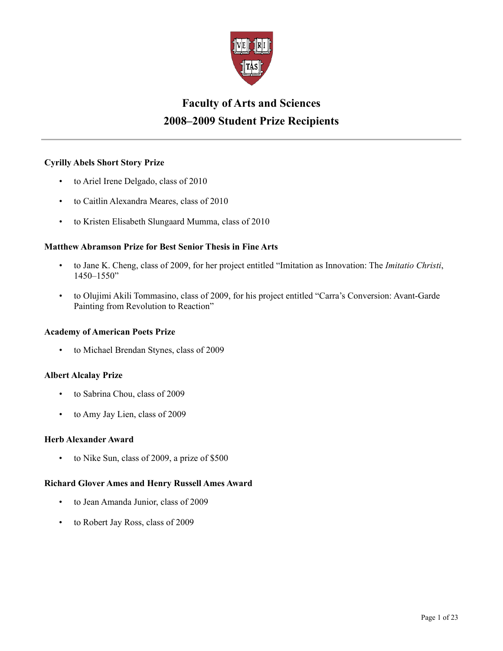

# **Faculty of Arts and Sciences 2008–2009 Student Prize Recipients**

# **Cyrilly Abels Short Story Prize**

- to Ariel Irene Delgado, class of 2010
- to Caitlin Alexandra Meares, class of 2010
- to Kristen Elisabeth Slungaard Mumma, class of 2010

# **Matthew Abramson Prize for Best Senior Thesis in Fine Arts**

- to Jane K. Cheng, class of 2009, for her project entitled "Imitation as Innovation: The *Imitatio Christi*, 1450–1550"
- to Olujimi Akili Tommasino, class of 2009, for his project entitled "Carra's Conversion: Avant-Garde Painting from Revolution to Reaction"

# **Academy of American Poets Prize**

• to Michael Brendan Stynes, class of 2009

# **Albert Alcalay Prize**

- to Sabrina Chou, class of 2009
- to Amy Jay Lien, class of 2009

## **Herb Alexander Award**

• to Nike Sun, class of 2009, a prize of \$500

# **Richard Glover Ames and Henry Russell Ames Award**

- to Jean Amanda Junior, class of 2009
- to Robert Jay Ross, class of 2009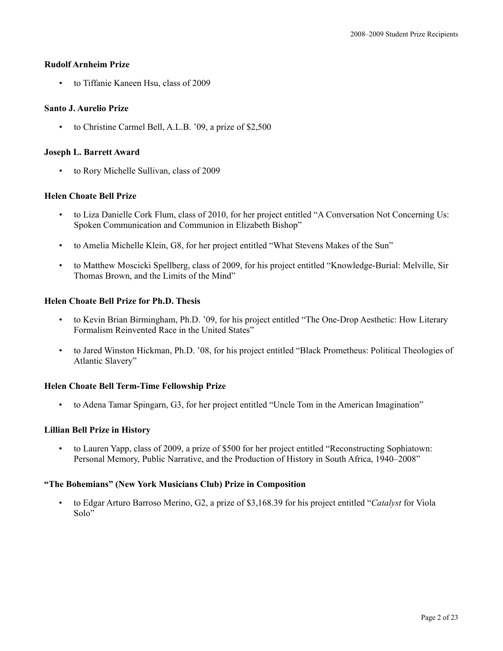## **Rudolf Arnheim Prize**

• to Tiffanie Kaneen Hsu, class of 2009

## **Santo J. Aurelio Prize**

• to Christine Carmel Bell, A.L.B. '09, a prize of \$2,500

## **Joseph L. Barrett Award**

• to Rory Michelle Sullivan, class of 2009

## **Helen Choate Bell Prize**

- to Liza Danielle Cork Flum, class of 2010, for her project entitled "A Conversation Not Concerning Us: Spoken Communication and Communion in Elizabeth Bishop"
- to Amelia Michelle Klein, G8, for her project entitled "What Stevens Makes of the Sun"
- to Matthew Moscicki Spellberg, class of 2009, for his project entitled "Knowledge-Burial: Melville, Sir Thomas Brown, and the Limits of the Mind"

## **Helen Choate Bell Prize for Ph.D. Thesis**

- to Kevin Brian Birmingham, Ph.D. '09, for his project entitled "The One-Drop Aesthetic: How Literary Formalism Reinvented Race in the United States"
- to Jared Winston Hickman, Ph.D. '08, for his project entitled "Black Prometheus: Political Theologies of Atlantic Slavery"

## **Helen Choate Bell Term-Time Fellowship Prize**

• to Adena Tamar Spingarn, G3, for her project entitled "Uncle Tom in the American Imagination"

## **Lillian Bell Prize in History**

• to Lauren Yapp, class of 2009, a prize of \$500 for her project entitled "Reconstructing Sophiatown: Personal Memory, Public Narrative, and the Production of History in South Africa, 1940–2008"

## **"The Bohemians" (New York Musicians Club) Prize in Composition**

• to Edgar Arturo Barroso Merino, G2, a prize of \$3,168.39 for his project entitled "*Catalyst* for Viola Solo"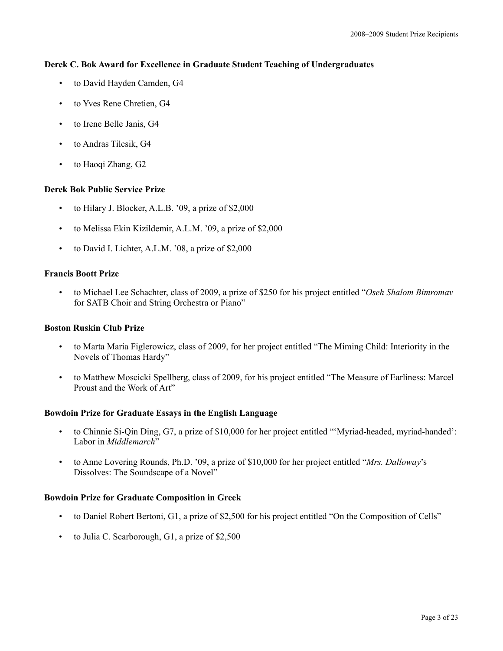## **Derek C. Bok Award for Excellence in Graduate Student Teaching of Undergraduates**

- to David Hayden Camden, G4
- to Yves Rene Chretien, G4
- to Irene Belle Janis, G4
- to Andras Tilcsik, G4
- to Haoqi Zhang, G2

## **Derek Bok Public Service Prize**

- to Hilary J. Blocker, A.L.B. '09, a prize of \$2,000
- to Melissa Ekin Kizildemir, A.L.M. '09, a prize of \$2,000
- to David I. Lichter, A.L.M. '08, a prize of \$2,000

## **Francis Boott Prize**

• to Michael Lee Schachter, class of 2009, a prize of \$250 for his project entitled "*Oseh Shalom Bimromav* for SATB Choir and String Orchestra or Piano"

## **Boston Ruskin Club Prize**

- to Marta Maria Figlerowicz, class of 2009, for her project entitled "The Miming Child: Interiority in the Novels of Thomas Hardy"
- to Matthew Moscicki Spellberg, class of 2009, for his project entitled "The Measure of Earliness: Marcel Proust and the Work of Art"

## **Bowdoin Prize for Graduate Essays in the English Language**

- to Chinnie Si-Qin Ding, G7, a prize of \$10,000 for her project entitled "'Myriad-headed, myriad-handed': Labor in *Middlemarch*"
- to Anne Lovering Rounds, Ph.D. '09, a prize of \$10,000 for her project entitled "*Mrs. Dalloway*'s Dissolves: The Soundscape of a Novel"

## **Bowdoin Prize for Graduate Composition in Greek**

- to Daniel Robert Bertoni, G1, a prize of \$2,500 for his project entitled "On the Composition of Cells"
- to Julia C. Scarborough, G1, a prize of \$2,500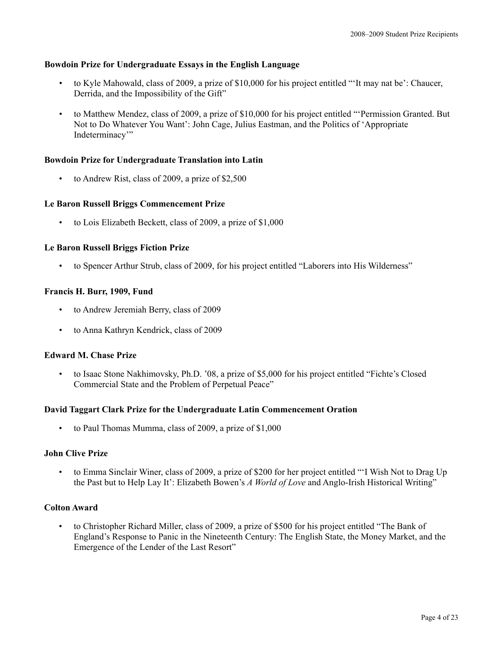## **Bowdoin Prize for Undergraduate Essays in the English Language**

- to Kyle Mahowald, class of 2009, a prize of \$10,000 for his project entitled "'It may nat be': Chaucer, Derrida, and the Impossibility of the Gift"
- to Matthew Mendez, class of 2009, a prize of \$10,000 for his project entitled "'Permission Granted. But Not to Do Whatever You Want': John Cage, Julius Eastman, and the Politics of 'Appropriate Indeterminacy"

#### **Bowdoin Prize for Undergraduate Translation into Latin**

• to Andrew Rist, class of 2009, a prize of \$2,500

## **Le Baron Russell Briggs Commencement Prize**

• to Lois Elizabeth Beckett, class of 2009, a prize of \$1,000

## **Le Baron Russell Briggs Fiction Prize**

• to Spencer Arthur Strub, class of 2009, for his project entitled "Laborers into His Wilderness"

## **Francis H. Burr, 1909, Fund**

- to Andrew Jeremiah Berry, class of 2009
- to Anna Kathryn Kendrick, class of 2009

### **Edward M. Chase Prize**

• to Isaac Stone Nakhimovsky, Ph.D. '08, a prize of \$5,000 for his project entitled "Fichte's Closed Commercial State and the Problem of Perpetual Peace"

#### **David Taggart Clark Prize for the Undergraduate Latin Commencement Oration**

• to Paul Thomas Mumma, class of 2009, a prize of \$1,000

#### **John Clive Prize**

• to Emma Sinclair Winer, class of 2009, a prize of \$200 for her project entitled "'I Wish Not to Drag Up the Past but to Help Lay It': Elizabeth Bowen's *A World of Love* and Anglo-Irish Historical Writing"

## **Colton Award**

• to Christopher Richard Miller, class of 2009, a prize of \$500 for his project entitled "The Bank of England's Response to Panic in the Nineteenth Century: The English State, the Money Market, and the Emergence of the Lender of the Last Resort"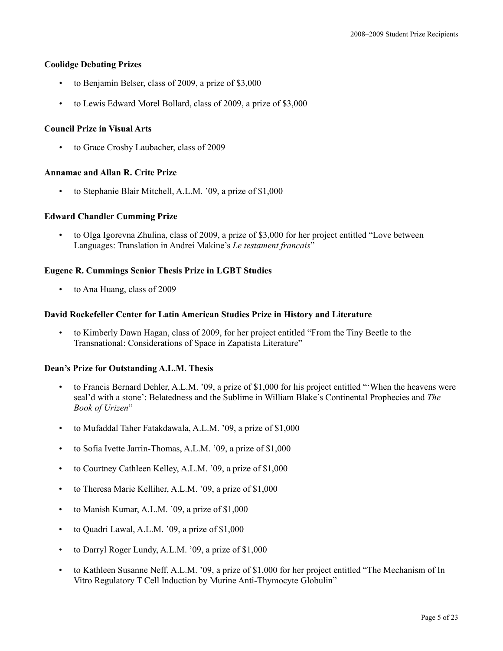## **Coolidge Debating Prizes**

- to Benjamin Belser, class of 2009, a prize of \$3,000
- to Lewis Edward Morel Bollard, class of 2009, a prize of \$3,000

## **Council Prize in Visual Arts**

• to Grace Crosby Laubacher, class of 2009

## **Annamae and Allan R. Crite Prize**

• to Stephanie Blair Mitchell, A.L.M. '09, a prize of \$1,000

## **Edward Chandler Cumming Prize**

• to Olga Igorevna Zhulina, class of 2009, a prize of \$3,000 for her project entitled "Love between Languages: Translation in Andrei Makine's *Le testament francais*"

## **Eugene R. Cummings Senior Thesis Prize in LGBT Studies**

• to Ana Huang, class of 2009

## **David Rockefeller Center for Latin American Studies Prize in History and Literature**

• to Kimberly Dawn Hagan, class of 2009, for her project entitled "From the Tiny Beetle to the Transnational: Considerations of Space in Zapatista Literature"

#### **Dean's Prize for Outstanding A.L.M. Thesis**

- to Francis Bernard Dehler, A.L.M. '09, a prize of \$1,000 for his project entitled "'When the heavens were seal'd with a stone': Belatedness and the Sublime in William Blake's Continental Prophecies and *The Book of Urizen*"
- to Mufaddal Taher Fatakdawala, A.L.M. '09, a prize of \$1,000
- to Sofia Ivette Jarrin-Thomas, A.L.M. '09, a prize of \$1,000
- to Courtney Cathleen Kelley, A.L.M. '09, a prize of \$1,000
- to Theresa Marie Kelliher, A.L.M. '09, a prize of \$1,000
- to Manish Kumar, A.L.M. '09, a prize of \$1,000
- to Quadri Lawal, A.L.M. '09, a prize of \$1,000
- to Darryl Roger Lundy, A.L.M. '09, a prize of \$1,000
- to Kathleen Susanne Neff, A.L.M. '09, a prize of \$1,000 for her project entitled "The Mechanism of In Vitro Regulatory T Cell Induction by Murine Anti-Thymocyte Globulin"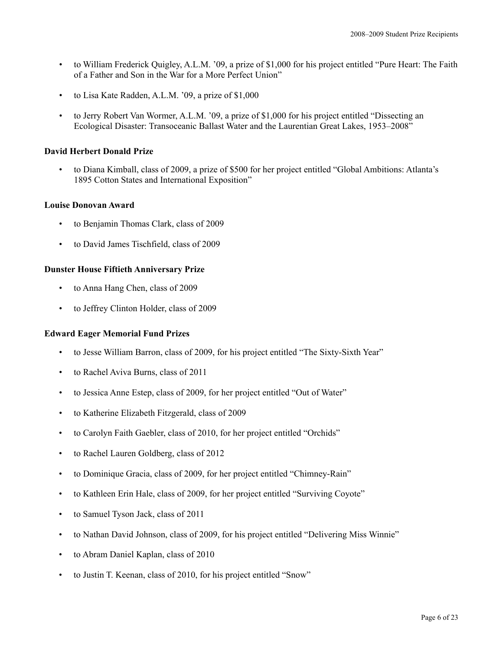- to William Frederick Quigley, A.L.M. '09, a prize of \$1,000 for his project entitled "Pure Heart: The Faith of a Father and Son in the War for a More Perfect Union"
- to Lisa Kate Radden, A.L.M. '09, a prize of \$1,000
- to Jerry Robert Van Wormer, A.L.M. '09, a prize of \$1,000 for his project entitled "Dissecting an Ecological Disaster: Transoceanic Ballast Water and the Laurentian Great Lakes, 1953–2008"

## **David Herbert Donald Prize**

• to Diana Kimball, class of 2009, a prize of \$500 for her project entitled "Global Ambitions: Atlanta's 1895 Cotton States and International Exposition"

#### **Louise Donovan Award**

- to Benjamin Thomas Clark, class of 2009
- to David James Tischfield, class of 2009

## **Dunster House Fiftieth Anniversary Prize**

- to Anna Hang Chen, class of 2009
- to Jeffrey Clinton Holder, class of 2009

#### **Edward Eager Memorial Fund Prizes**

- to Jesse William Barron, class of 2009, for his project entitled "The Sixty-Sixth Year"
- to Rachel Aviva Burns, class of 2011
- to Jessica Anne Estep, class of 2009, for her project entitled "Out of Water"
- to Katherine Elizabeth Fitzgerald, class of 2009
- to Carolyn Faith Gaebler, class of 2010, for her project entitled "Orchids"
- to Rachel Lauren Goldberg, class of 2012
- to Dominique Gracia, class of 2009, for her project entitled "Chimney-Rain"
- to Kathleen Erin Hale, class of 2009, for her project entitled "Surviving Coyote"
- to Samuel Tyson Jack, class of 2011
- to Nathan David Johnson, class of 2009, for his project entitled "Delivering Miss Winnie"
- to Abram Daniel Kaplan, class of 2010
- to Justin T. Keenan, class of 2010, for his project entitled "Snow"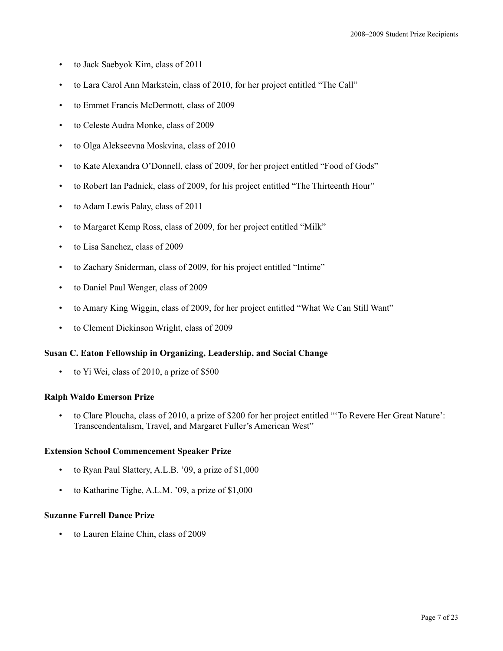- to Jack Saebyok Kim, class of 2011
- to Lara Carol Ann Markstein, class of 2010, for her project entitled "The Call"
- to Emmet Francis McDermott, class of 2009
- to Celeste Audra Monke, class of 2009
- to Olga Alekseevna Moskvina, class of 2010
- to Kate Alexandra O'Donnell, class of 2009, for her project entitled "Food of Gods"
- to Robert Ian Padnick, class of 2009, for his project entitled "The Thirteenth Hour"
- to Adam Lewis Palay, class of 2011
- to Margaret Kemp Ross, class of 2009, for her project entitled "Milk"
- to Lisa Sanchez, class of 2009
- to Zachary Sniderman, class of 2009, for his project entitled "Intime"
- to Daniel Paul Wenger, class of 2009
- to Amary King Wiggin, class of 2009, for her project entitled "What We Can Still Want"
- to Clement Dickinson Wright, class of 2009

#### **Susan C. Eaton Fellowship in Organizing, Leadership, and Social Change**

• to Yi Wei, class of 2010, a prize of \$500

#### **Ralph Waldo Emerson Prize**

• to Clare Ploucha, class of 2010, a prize of \$200 for her project entitled "'To Revere Her Great Nature': Transcendentalism, Travel, and Margaret Fuller's American West"

#### **Extension School Commencement Speaker Prize**

- to Ryan Paul Slattery, A.L.B. '09, a prize of \$1,000
- to Katharine Tighe, A.L.M. '09, a prize of \$1,000

## **Suzanne Farrell Dance Prize**

• to Lauren Elaine Chin, class of 2009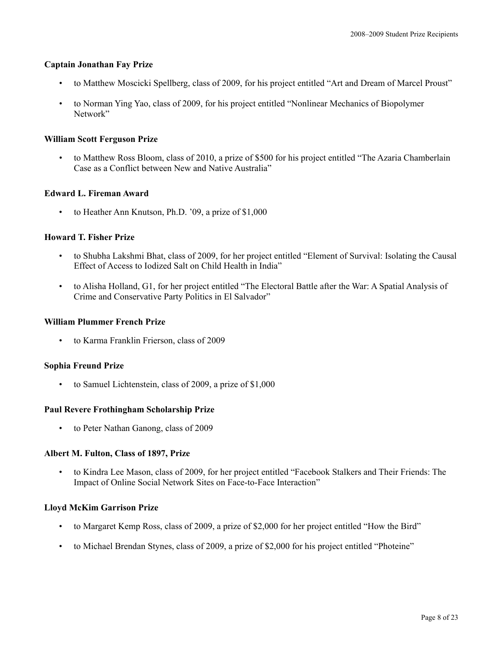#### **Captain Jonathan Fay Prize**

- to Matthew Moscicki Spellberg, class of 2009, for his project entitled "Art and Dream of Marcel Proust"
- to Norman Ying Yao, class of 2009, for his project entitled "Nonlinear Mechanics of Biopolymer Network"

## **William Scott Ferguson Prize**

• to Matthew Ross Bloom, class of 2010, a prize of \$500 for his project entitled "The Azaria Chamberlain Case as a Conflict between New and Native Australia"

## **Edward L. Fireman Award**

to Heather Ann Knutson, Ph.D. '09, a prize of \$1,000

## **Howard T. Fisher Prize**

- to Shubha Lakshmi Bhat, class of 2009, for her project entitled "Element of Survival: Isolating the Causal Effect of Access to Iodized Salt on Child Health in India"
- to Alisha Holland, G1, for her project entitled "The Electoral Battle after the War: A Spatial Analysis of Crime and Conservative Party Politics in El Salvador"

## **William Plummer French Prize**

• to Karma Franklin Frierson, class of 2009

## **Sophia Freund Prize**

• to Samuel Lichtenstein, class of 2009, a prize of \$1,000

#### **Paul Revere Frothingham Scholarship Prize**

• to Peter Nathan Ganong, class of 2009

#### **Albert M. Fulton, Class of 1897, Prize**

• to Kindra Lee Mason, class of 2009, for her project entitled "Facebook Stalkers and Their Friends: The Impact of Online Social Network Sites on Face-to-Face Interaction"

#### **Lloyd McKim Garrison Prize**

- to Margaret Kemp Ross, class of 2009, a prize of \$2,000 for her project entitled "How the Bird"
- to Michael Brendan Stynes, class of 2009, a prize of \$2,000 for his project entitled "Photeine"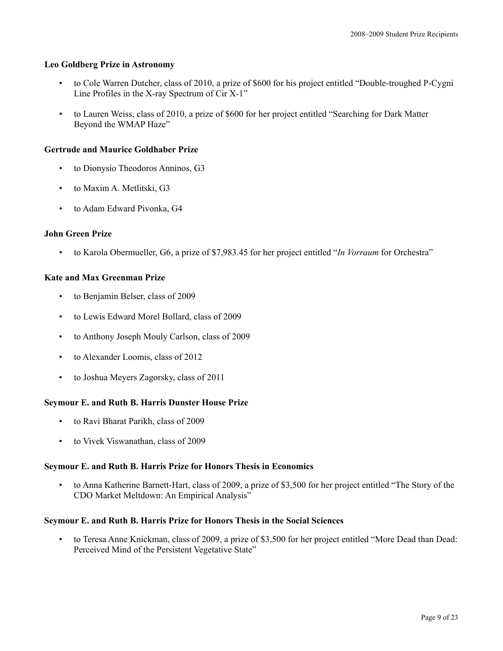## **Leo Goldberg Prize in Astronomy**

- to Cole Warren Dutcher, class of 2010, a prize of \$600 for his project entitled "Double-troughed P-Cygni Line Profiles in the X-ray Spectrum of Cir X-1"
- to Lauren Weiss, class of 2010, a prize of \$600 for her project entitled "Searching for Dark Matter Beyond the WMAP Haze"

## **Gertrude and Maurice Goldhaber Prize**

- to Dionysio Theodoros Anninos, G3
- to Maxim A. Metlitski, G3
- to Adam Edward Pivonka, G4

#### **John Green Prize**

• to Karola Obermueller, G6, a prize of \$7,983.45 for her project entitled "*In Vorraum* for Orchestra"

## **Kate and Max Greenman Prize**

- to Benjamin Belser, class of 2009
- to Lewis Edward Morel Bollard, class of 2009
- to Anthony Joseph Mouly Carlson, class of 2009
- to Alexander Loomis, class of 2012
- to Joshua Meyers Zagorsky, class of 2011

#### **Seymour E. and Ruth B. Harris Dunster House Prize**

- to Ravi Bharat Parikh, class of 2009
- to Vivek Viswanathan, class of 2009

#### **Seymour E. and Ruth B. Harris Prize for Honors Thesis in Economics**

• to Anna Katherine Barnett-Hart, class of 2009, a prize of \$3,500 for her project entitled "The Story of the CDO Market Meltdown: An Empirical Analysis"

#### **Seymour E. and Ruth B. Harris Prize for Honors Thesis in the Social Sciences**

• to Teresa Anne Knickman, class of 2009, a prize of \$3,500 for her project entitled "More Dead than Dead: Perceived Mind of the Persistent Vegetative State"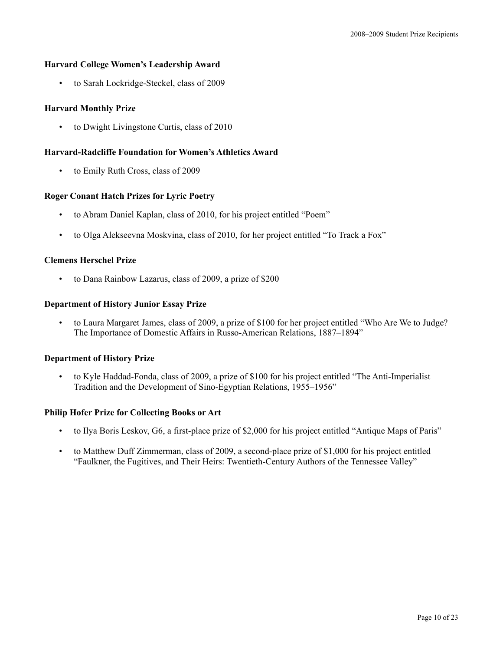## **Harvard College Women's Leadership Award**

• to Sarah Lockridge-Steckel, class of 2009

## **Harvard Monthly Prize**

• to Dwight Livingstone Curtis, class of 2010

## **Harvard-Radcliffe Foundation for Women's Athletics Award**

• to Emily Ruth Cross, class of 2009

## **Roger Conant Hatch Prizes for Lyric Poetry**

- to Abram Daniel Kaplan, class of 2010, for his project entitled "Poem"
- to Olga Alekseevna Moskvina, class of 2010, for her project entitled "To Track a Fox"

## **Clemens Herschel Prize**

• to Dana Rainbow Lazarus, class of 2009, a prize of \$200

## **Department of History Junior Essay Prize**

• to Laura Margaret James, class of 2009, a prize of \$100 for her project entitled "Who Are We to Judge? The Importance of Domestic Affairs in Russo-American Relations, 1887–1894"

#### **Department of History Prize**

• to Kyle Haddad-Fonda, class of 2009, a prize of \$100 for his project entitled "The Anti-Imperialist Tradition and the Development of Sino-Egyptian Relations, 1955–1956"

#### **Philip Hofer Prize for Collecting Books or Art**

- to Ilya Boris Leskov, G6, a first-place prize of \$2,000 for his project entitled "Antique Maps of Paris"
- to Matthew Duff Zimmerman, class of 2009, a second-place prize of \$1,000 for his project entitled "Faulkner, the Fugitives, and Their Heirs: Twentieth-Century Authors of the Tennessee Valley"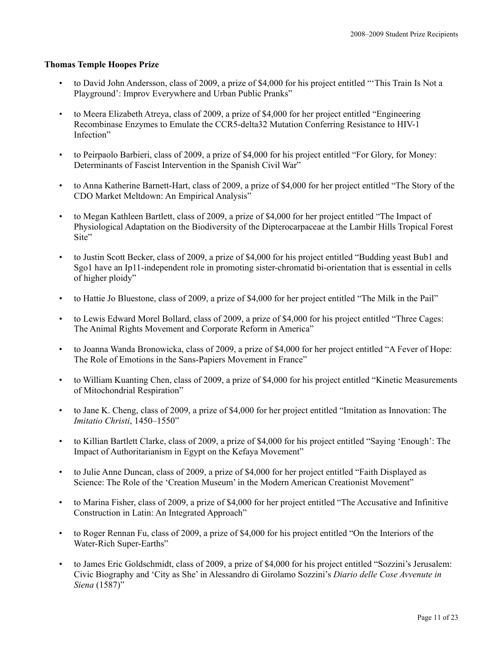## **Thomas Temple Hoopes Prize**

- to David John Andersson, class of 2009, a prize of \$4,000 for his project entitled "'This Train Is Not a Playground': Improv Everywhere and Urban Public Pranks"
- to Meera Elizabeth Atreya, class of 2009, a prize of \$4,000 for her project entitled "Engineering Recombinase Enzymes to Emulate the CCR5-delta32 Mutation Conferring Resistance to HIV-1 Infection"
- to Peirpaolo Barbieri, class of 2009, a prize of \$4,000 for his project entitled "For Glory, for Money: Determinants of Fascist Intervention in the Spanish Civil War"
- to Anna Katherine Barnett-Hart, class of 2009, a prize of \$4,000 for her project entitled "The Story of the CDO Market Meltdown: An Empirical Analysis"
- to Megan Kathleen Bartlett, class of 2009, a prize of \$4,000 for her project entitled "The Impact of Physiological Adaptation on the Biodiversity of the Dipterocarpaceae at the Lambir Hills Tropical Forest Site"
- to Justin Scott Becker, class of 2009, a prize of \$4,000 for his project entitled "Budding yeast Bub1 and Sgo1 have an Ip11-independent role in promoting sister-chromatid bi-orientation that is essential in cells of higher ploidy"
- to Hattie Jo Bluestone, class of 2009, a prize of \$4,000 for her project entitled "The Milk in the Pail"
- to Lewis Edward Morel Bollard, class of 2009, a prize of \$4,000 for his project entitled "Three Cages: The Animal Rights Movement and Corporate Reform in America"
- to Joanna Wanda Bronowicka, class of 2009, a prize of \$4,000 for her project entitled "A Fever of Hope: The Role of Emotions in the Sans-Papiers Movement in France"
- to William Kuanting Chen, class of 2009, a prize of \$4,000 for his project entitled "Kinetic Measurements of Mitochondrial Respiration"
- to Jane K. Cheng, class of 2009, a prize of \$4,000 for her project entitled "Imitation as Innovation: The *Imitatio Christi*, 1450–1550"
- to Killian Bartlett Clarke, class of 2009, a prize of \$4,000 for his project entitled "Saying 'Enough': The Impact of Authoritarianism in Egypt on the Kefaya Movement"
- to Julie Anne Duncan, class of 2009, a prize of \$4,000 for her project entitled "Faith Displayed as Science: The Role of the 'Creation Museum' in the Modern American Creationist Movement"
- to Marina Fisher, class of 2009, a prize of \$4,000 for her project entitled "The Accusative and Infinitive Construction in Latin: An Integrated Approach"
- to Roger Rennan Fu, class of 2009, a prize of \$4,000 for his project entitled "On the Interiors of the Water-Rich Super-Earths"
- to James Eric Goldschmidt, class of 2009, a prize of \$4,000 for his project entitled "Sozzini's Jerusalem: Civic Biography and 'City as She' in Alessandro di Girolamo Sozzini's *Diario delle Cose Avvenute in Siena* (1587)"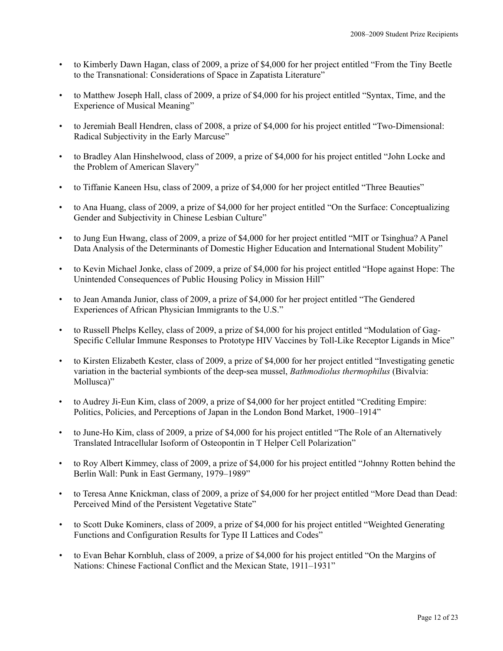- to Kimberly Dawn Hagan, class of 2009, a prize of \$4,000 for her project entitled "From the Tiny Beetle to the Transnational: Considerations of Space in Zapatista Literature"
- to Matthew Joseph Hall, class of 2009, a prize of \$4,000 for his project entitled "Syntax, Time, and the Experience of Musical Meaning"
- to Jeremiah Beall Hendren, class of 2008, a prize of \$4,000 for his project entitled "Two-Dimensional: Radical Subjectivity in the Early Marcuse"
- to Bradley Alan Hinshelwood, class of 2009, a prize of \$4,000 for his project entitled "John Locke and the Problem of American Slavery"
- to Tiffanie Kaneen Hsu, class of 2009, a prize of \$4,000 for her project entitled "Three Beauties"
- to Ana Huang, class of 2009, a prize of \$4,000 for her project entitled "On the Surface: Conceptualizing Gender and Subjectivity in Chinese Lesbian Culture"
- to Jung Eun Hwang, class of 2009, a prize of \$4,000 for her project entitled "MIT or Tsinghua? A Panel Data Analysis of the Determinants of Domestic Higher Education and International Student Mobility"
- to Kevin Michael Jonke, class of 2009, a prize of \$4,000 for his project entitled "Hope against Hope: The Unintended Consequences of Public Housing Policy in Mission Hill"
- to Jean Amanda Junior, class of 2009, a prize of \$4,000 for her project entitled "The Gendered Experiences of African Physician Immigrants to the U.S."
- to Russell Phelps Kelley, class of 2009, a prize of \$4,000 for his project entitled "Modulation of Gag-Specific Cellular Immune Responses to Prototype HIV Vaccines by Toll-Like Receptor Ligands in Mice"
- to Kirsten Elizabeth Kester, class of 2009, a prize of \$4,000 for her project entitled "Investigating genetic variation in the bacterial symbionts of the deep-sea mussel, *Bathmodiolus thermophilus* (Bivalvia: Mollusca)"
- to Audrey Ji-Eun Kim, class of 2009, a prize of \$4,000 for her project entitled "Crediting Empire: Politics, Policies, and Perceptions of Japan in the London Bond Market, 1900–1914"
- to June-Ho Kim, class of 2009, a prize of \$4,000 for his project entitled "The Role of an Alternatively Translated Intracellular Isoform of Osteopontin in T Helper Cell Polarization"
- to Roy Albert Kimmey, class of 2009, a prize of \$4,000 for his project entitled "Johnny Rotten behind the Berlin Wall: Punk in East Germany, 1979–1989"
- to Teresa Anne Knickman, class of 2009, a prize of \$4,000 for her project entitled "More Dead than Dead: Perceived Mind of the Persistent Vegetative State"
- to Scott Duke Kominers, class of 2009, a prize of \$4,000 for his project entitled "Weighted Generating Functions and Configuration Results for Type II Lattices and Codes"
- to Evan Behar Kornbluh, class of 2009, a prize of \$4,000 for his project entitled "On the Margins of Nations: Chinese Factional Conflict and the Mexican State, 1911–1931"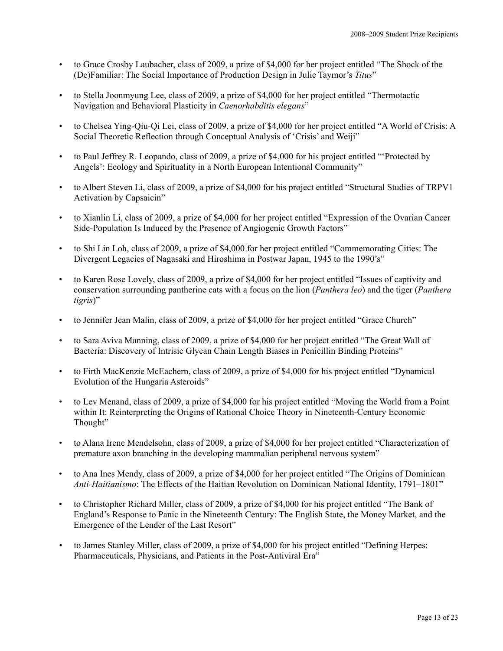- to Grace Crosby Laubacher, class of 2009, a prize of \$4,000 for her project entitled "The Shock of the (De)Familiar: The Social Importance of Production Design in Julie Taymor's *Titus*"
- to Stella Joonmyung Lee, class of 2009, a prize of \$4,000 for her project entitled "Thermotactic Navigation and Behavioral Plasticity in *Caenorhabditis elegans*"
- to Chelsea Ying-Qiu-Qi Lei, class of 2009, a prize of \$4,000 for her project entitled "A World of Crisis: A Social Theoretic Reflection through Conceptual Analysis of 'Crisis' and Weiji"
- to Paul Jeffrey R. Leopando, class of 2009, a prize of \$4,000 for his project entitled "'Protected by Angels': Ecology and Spirituality in a North European Intentional Community"
- to Albert Steven Li, class of 2009, a prize of \$4,000 for his project entitled "Structural Studies of TRPV1 Activation by Capsaicin"
- to Xianlin Li, class of 2009, a prize of \$4,000 for her project entitled "Expression of the Ovarian Cancer Side-Population Is Induced by the Presence of Angiogenic Growth Factors"
- to Shi Lin Loh, class of 2009, a prize of \$4,000 for her project entitled "Commemorating Cities: The Divergent Legacies of Nagasaki and Hiroshima in Postwar Japan, 1945 to the 1990's"
- to Karen Rose Lovely, class of 2009, a prize of \$4,000 for her project entitled "Issues of captivity and conservation surrounding pantherine cats with a focus on the lion (*Panthera leo*) and the tiger (*Panthera tigris*)"
- to Jennifer Jean Malin, class of 2009, a prize of \$4,000 for her project entitled "Grace Church"
- to Sara Aviva Manning, class of 2009, a prize of \$4,000 for her project entitled "The Great Wall of Bacteria: Discovery of Intrisic Glycan Chain Length Biases in Penicillin Binding Proteins"
- to Firth MacKenzie McEachern, class of 2009, a prize of \$4,000 for his project entitled "Dynamical Evolution of the Hungaria Asteroids"
- to Lev Menand, class of 2009, a prize of \$4,000 for his project entitled "Moving the World from a Point within It: Reinterpreting the Origins of Rational Choice Theory in Nineteenth-Century Economic Thought"
- to Alana Irene Mendelsohn, class of 2009, a prize of \$4,000 for her project entitled "Characterization of premature axon branching in the developing mammalian peripheral nervous system"
- to Ana Ines Mendy, class of 2009, a prize of \$4,000 for her project entitled "The Origins of Dominican *Anti-Haitianismo*: The Effects of the Haitian Revolution on Dominican National Identity, 1791–1801"
- to Christopher Richard Miller, class of 2009, a prize of \$4,000 for his project entitled "The Bank of England's Response to Panic in the Nineteenth Century: The English State, the Money Market, and the Emergence of the Lender of the Last Resort"
- to James Stanley Miller, class of 2009, a prize of \$4,000 for his project entitled "Defining Herpes: Pharmaceuticals, Physicians, and Patients in the Post-Antiviral Era"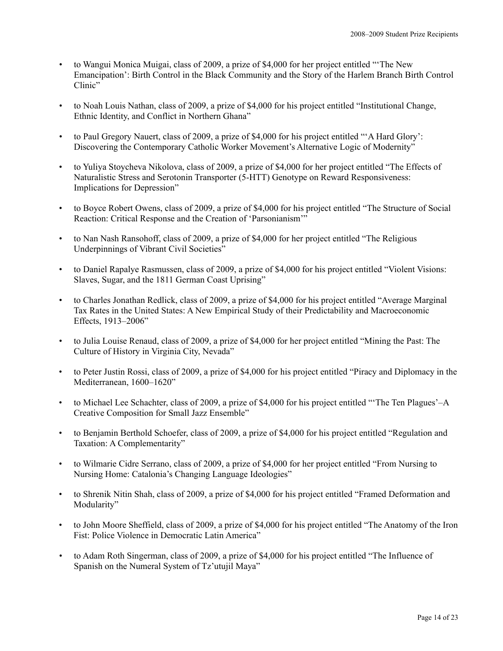- to Wangui Monica Muigai, class of 2009, a prize of \$4,000 for her project entitled "'The New Emancipation': Birth Control in the Black Community and the Story of the Harlem Branch Birth Control Clinic"
- to Noah Louis Nathan, class of 2009, a prize of \$4,000 for his project entitled "Institutional Change, Ethnic Identity, and Conflict in Northern Ghana"
- to Paul Gregory Nauert, class of 2009, a prize of \$4,000 for his project entitled "'A Hard Glory': Discovering the Contemporary Catholic Worker Movement's Alternative Logic of Modernity"
- to Yuliya Stoycheva Nikolova, class of 2009, a prize of \$4,000 for her project entitled "The Effects of Naturalistic Stress and Serotonin Transporter (5-HTT) Genotype on Reward Responsiveness: Implications for Depression"
- to Boyce Robert Owens, class of 2009, a prize of \$4,000 for his project entitled "The Structure of Social Reaction: Critical Response and the Creation of 'Parsonianism'"
- to Nan Nash Ransohoff, class of 2009, a prize of \$4,000 for her project entitled "The Religious Underpinnings of Vibrant Civil Societies"
- to Daniel Rapalye Rasmussen, class of 2009, a prize of \$4,000 for his project entitled "Violent Visions: Slaves, Sugar, and the 1811 German Coast Uprising"
- to Charles Jonathan Redlick, class of 2009, a prize of \$4,000 for his project entitled "Average Marginal Tax Rates in the United States: A New Empirical Study of their Predictability and Macroeconomic Effects, 1913–2006"
- to Julia Louise Renaud, class of 2009, a prize of \$4,000 for her project entitled "Mining the Past: The Culture of History in Virginia City, Nevada"
- to Peter Justin Rossi, class of 2009, a prize of \$4,000 for his project entitled "Piracy and Diplomacy in the Mediterranean, 1600–1620"
- to Michael Lee Schachter, class of 2009, a prize of \$4,000 for his project entitled "'The Ten Plagues'–A Creative Composition for Small Jazz Ensemble"
- to Benjamin Berthold Schoefer, class of 2009, a prize of \$4,000 for his project entitled "Regulation and Taxation: A Complementarity"
- to Wilmarie Cidre Serrano, class of 2009, a prize of \$4,000 for her project entitled "From Nursing to Nursing Home: Catalonia's Changing Language Ideologies"
- to Shrenik Nitin Shah, class of 2009, a prize of \$4,000 for his project entitled "Framed Deformation and Modularity"
- to John Moore Sheffield, class of 2009, a prize of \$4,000 for his project entitled "The Anatomy of the Iron Fist: Police Violence in Democratic Latin America"
- to Adam Roth Singerman, class of 2009, a prize of \$4,000 for his project entitled "The Influence of Spanish on the Numeral System of Tz'utujil Maya"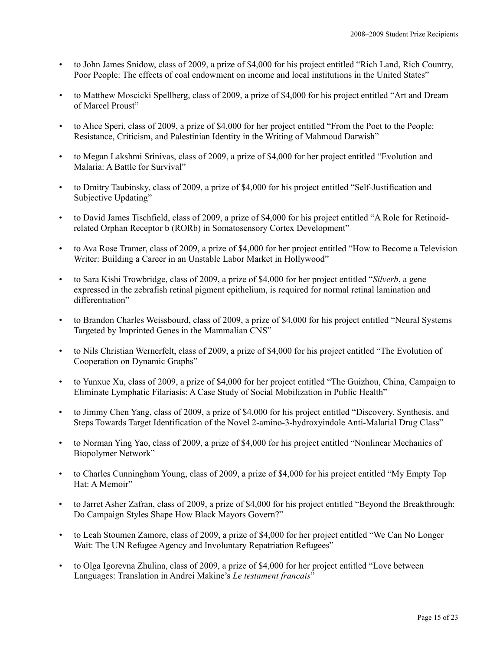- to John James Snidow, class of 2009, a prize of \$4,000 for his project entitled "Rich Land, Rich Country, Poor People: The effects of coal endowment on income and local institutions in the United States"
- to Matthew Moscicki Spellberg, class of 2009, a prize of \$4,000 for his project entitled "Art and Dream of Marcel Proust"
- to Alice Speri, class of 2009, a prize of \$4,000 for her project entitled "From the Poet to the People: Resistance, Criticism, and Palestinian Identity in the Writing of Mahmoud Darwish"
- to Megan Lakshmi Srinivas, class of 2009, a prize of \$4,000 for her project entitled "Evolution and Malaria: A Battle for Survival"
- to Dmitry Taubinsky, class of 2009, a prize of \$4,000 for his project entitled "Self-Justification and Subjective Updating"
- to David James Tischfield, class of 2009, a prize of \$4,000 for his project entitled "A Role for Retinoidrelated Orphan Receptor b (RORb) in Somatosensory Cortex Development"
- to Ava Rose Tramer, class of 2009, a prize of \$4,000 for her project entitled "How to Become a Television Writer: Building a Career in an Unstable Labor Market in Hollywood"
- to Sara Kishi Trowbridge, class of 2009, a prize of \$4,000 for her project entitled "*Silverb*, a gene expressed in the zebrafish retinal pigment epithelium, is required for normal retinal lamination and differentiation"
- to Brandon Charles Weissbourd, class of 2009, a prize of \$4,000 for his project entitled "Neural Systems Targeted by Imprinted Genes in the Mammalian CNS"
- to Nils Christian Wernerfelt, class of 2009, a prize of \$4,000 for his project entitled "The Evolution of Cooperation on Dynamic Graphs"
- to Yunxue Xu, class of 2009, a prize of \$4,000 for her project entitled "The Guizhou, China, Campaign to Eliminate Lymphatic Filariasis: A Case Study of Social Mobilization in Public Health"
- to Jimmy Chen Yang, class of 2009, a prize of \$4,000 for his project entitled "Discovery, Synthesis, and Steps Towards Target Identification of the Novel 2-amino-3-hydroxyindole Anti-Malarial Drug Class"
- to Norman Ying Yao, class of 2009, a prize of \$4,000 for his project entitled "Nonlinear Mechanics of Biopolymer Network"
- to Charles Cunningham Young, class of 2009, a prize of \$4,000 for his project entitled "My Empty Top Hat: A Memoir"
- to Jarret Asher Zafran, class of 2009, a prize of \$4,000 for his project entitled "Beyond the Breakthrough: Do Campaign Styles Shape How Black Mayors Govern?"
- to Leah Stoumen Zamore, class of 2009, a prize of \$4,000 for her project entitled "We Can No Longer Wait: The UN Refugee Agency and Involuntary Repatriation Refugees"
- to Olga Igorevna Zhulina, class of 2009, a prize of \$4,000 for her project entitled "Love between Languages: Translation in Andrei Makine's *Le testament francais*"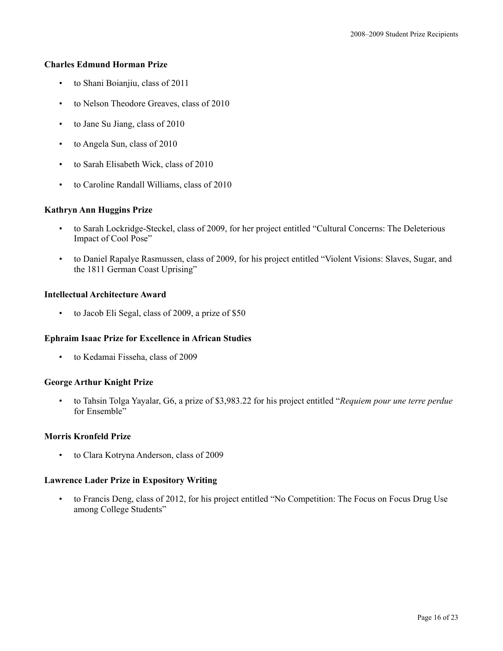## **Charles Edmund Horman Prize**

- to Shani Boianjiu, class of 2011
- to Nelson Theodore Greaves, class of 2010
- to Jane Su Jiang, class of 2010
- to Angela Sun, class of 2010
- to Sarah Elisabeth Wick, class of 2010
- to Caroline Randall Williams, class of 2010

#### **Kathryn Ann Huggins Prize**

- to Sarah Lockridge-Steckel, class of 2009, for her project entitled "Cultural Concerns: The Deleterious Impact of Cool Pose"
- to Daniel Rapalye Rasmussen, class of 2009, for his project entitled "Violent Visions: Slaves, Sugar, and the 1811 German Coast Uprising"

## **Intellectual Architecture Award**

• to Jacob Eli Segal, class of 2009, a prize of \$50

## **Ephraim Isaac Prize for Excellence in African Studies**

• to Kedamai Fisseha, class of 2009

#### **George Arthur Knight Prize**

• to Tahsin Tolga Yayalar, G6, a prize of \$3,983.22 for his project entitled "*Requiem pour une terre perdue* for Ensemble"

#### **Morris Kronfeld Prize**

• to Clara Kotryna Anderson, class of 2009

## **Lawrence Lader Prize in Expository Writing**

• to Francis Deng, class of 2012, for his project entitled "No Competition: The Focus on Focus Drug Use among College Students"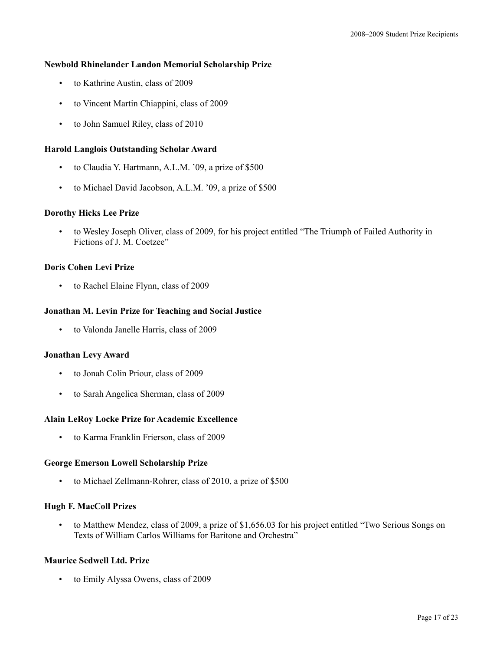## **Newbold Rhinelander Landon Memorial Scholarship Prize**

- to Kathrine Austin, class of 2009
- to Vincent Martin Chiappini, class of 2009
- to John Samuel Riley, class of 2010

## **Harold Langlois Outstanding Scholar Award**

- to Claudia Y. Hartmann, A.L.M. '09, a prize of \$500
- to Michael David Jacobson, A.L.M. '09, a prize of \$500

#### **Dorothy Hicks Lee Prize**

• to Wesley Joseph Oliver, class of 2009, for his project entitled "The Triumph of Failed Authority in Fictions of J. M. Coetzee"

#### **Doris Cohen Levi Prize**

• to Rachel Elaine Flynn, class of 2009

#### **Jonathan M. Levin Prize for Teaching and Social Justice**

• to Valonda Janelle Harris, class of 2009

#### **Jonathan Levy Award**

- to Jonah Colin Priour, class of 2009
- to Sarah Angelica Sherman, class of 2009

#### **Alain LeRoy Locke Prize for Academic Excellence**

• to Karma Franklin Frierson, class of 2009

#### **George Emerson Lowell Scholarship Prize**

• to Michael Zellmann-Rohrer, class of 2010, a prize of \$500

## **Hugh F. MacColl Prizes**

• to Matthew Mendez, class of 2009, a prize of \$1,656.03 for his project entitled "Two Serious Songs on Texts of William Carlos Williams for Baritone and Orchestra"

## **Maurice Sedwell Ltd. Prize**

• to Emily Alyssa Owens, class of 2009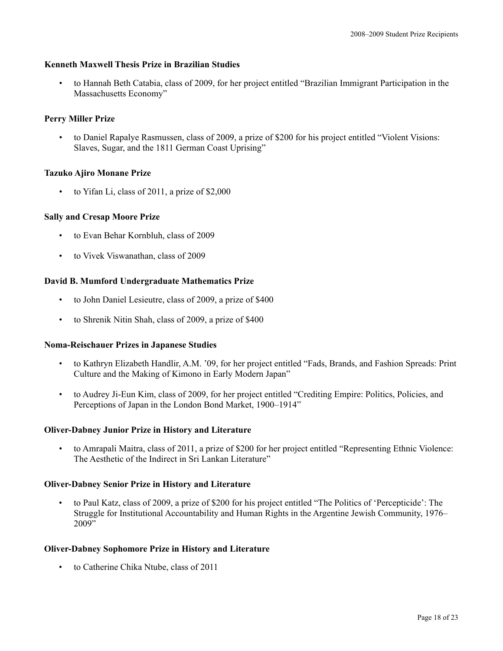## **Kenneth Maxwell Thesis Prize in Brazilian Studies**

• to Hannah Beth Catabia, class of 2009, for her project entitled "Brazilian Immigrant Participation in the Massachusetts Economy"

## **Perry Miller Prize**

• to Daniel Rapalye Rasmussen, class of 2009, a prize of \$200 for his project entitled "Violent Visions: Slaves, Sugar, and the 1811 German Coast Uprising"

## **Tazuko Ajiro Monane Prize**

• to Yifan Li, class of 2011, a prize of \$2,000

## **Sally and Cresap Moore Prize**

- to Evan Behar Kornbluh, class of 2009
- to Vivek Viswanathan, class of 2009

## **David B. Mumford Undergraduate Mathematics Prize**

- to John Daniel Lesieutre, class of 2009, a prize of \$400
- to Shrenik Nitin Shah, class of 2009, a prize of \$400

#### **Noma-Reischauer Prizes in Japanese Studies**

- to Kathryn Elizabeth Handlir, A.M. '09, for her project entitled "Fads, Brands, and Fashion Spreads: Print Culture and the Making of Kimono in Early Modern Japan"
- to Audrey Ji-Eun Kim, class of 2009, for her project entitled "Crediting Empire: Politics, Policies, and Perceptions of Japan in the London Bond Market, 1900–1914"

#### **Oliver-Dabney Junior Prize in History and Literature**

• to Amrapali Maitra, class of 2011, a prize of \$200 for her project entitled "Representing Ethnic Violence: The Aesthetic of the Indirect in Sri Lankan Literature"

#### **Oliver-Dabney Senior Prize in History and Literature**

• to Paul Katz, class of 2009, a prize of \$200 for his project entitled "The Politics of 'Percepticide': The Struggle for Institutional Accountability and Human Rights in the Argentine Jewish Community, 1976– 2009"

#### **Oliver-Dabney Sophomore Prize in History and Literature**

• to Catherine Chika Ntube, class of 2011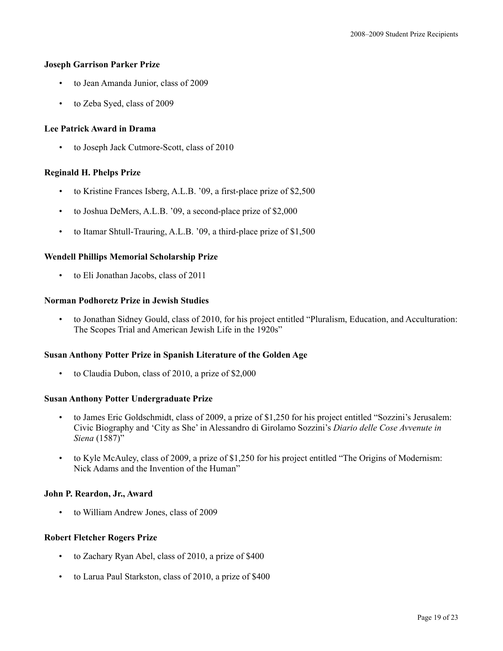## **Joseph Garrison Parker Prize**

- to Jean Amanda Junior, class of 2009
- to Zeba Syed, class of 2009

## **Lee Patrick Award in Drama**

• to Joseph Jack Cutmore-Scott, class of 2010

## **Reginald H. Phelps Prize**

- to Kristine Frances Isberg, A.L.B. '09, a first-place prize of \$2,500
- to Joshua DeMers, A.L.B. '09, a second-place prize of \$2,000
- to Itamar Shtull-Trauring, A.L.B. '09, a third-place prize of \$1,500

## **Wendell Phillips Memorial Scholarship Prize**

• to Eli Jonathan Jacobs, class of 2011

## **Norman Podhoretz Prize in Jewish Studies**

• to Jonathan Sidney Gould, class of 2010, for his project entitled "Pluralism, Education, and Acculturation: The Scopes Trial and American Jewish Life in the 1920s"

#### **Susan Anthony Potter Prize in Spanish Literature of the Golden Age**

• to Claudia Dubon, class of 2010, a prize of \$2,000

#### **Susan Anthony Potter Undergraduate Prize**

- to James Eric Goldschmidt, class of 2009, a prize of \$1,250 for his project entitled "Sozzini's Jerusalem: Civic Biography and 'City as She' in Alessandro di Girolamo Sozzini's *Diario delle Cose Avvenute in Siena* (1587)"
- to Kyle McAuley, class of 2009, a prize of \$1,250 for his project entitled "The Origins of Modernism: Nick Adams and the Invention of the Human"

#### **John P. Reardon, Jr., Award**

• to William Andrew Jones, class of 2009

#### **Robert Fletcher Rogers Prize**

- to Zachary Ryan Abel, class of 2010, a prize of \$400
- to Larua Paul Starkston, class of 2010, a prize of \$400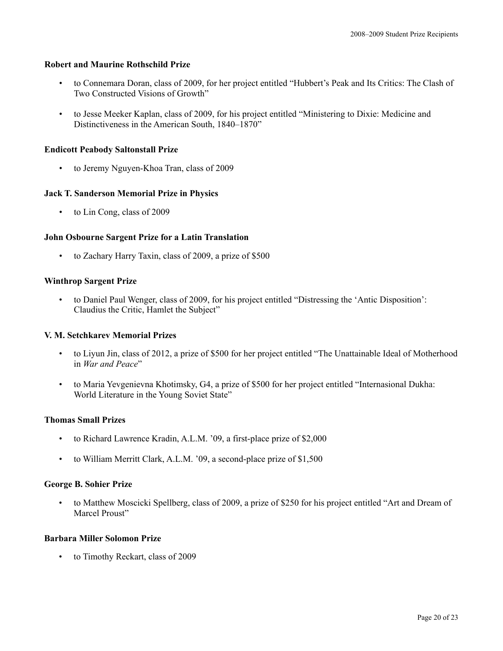## **Robert and Maurine Rothschild Prize**

- to Connemara Doran, class of 2009, for her project entitled "Hubbert's Peak and Its Critics: The Clash of Two Constructed Visions of Growth"
- to Jesse Meeker Kaplan, class of 2009, for his project entitled "Ministering to Dixie: Medicine and Distinctiveness in the American South, 1840–1870"

## **Endicott Peabody Saltonstall Prize**

• to Jeremy Nguyen-Khoa Tran, class of 2009

## **Jack T. Sanderson Memorial Prize in Physics**

• to Lin Cong, class of 2009

## **John Osbourne Sargent Prize for a Latin Translation**

• to Zachary Harry Taxin, class of 2009, a prize of \$500

## **Winthrop Sargent Prize**

• to Daniel Paul Wenger, class of 2009, for his project entitled "Distressing the 'Antic Disposition': Claudius the Critic, Hamlet the Subject"

#### **V. M. Setchkarev Memorial Prizes**

- to Liyun Jin, class of 2012, a prize of \$500 for her project entitled "The Unattainable Ideal of Motherhood in *War and Peace*"
- to Maria Yevgenievna Khotimsky, G4, a prize of \$500 for her project entitled "Internasional Dukha: World Literature in the Young Soviet State"

## **Thomas Small Prizes**

- to Richard Lawrence Kradin, A.L.M. '09, a first-place prize of \$2,000
- to William Merritt Clark, A.L.M. '09, a second-place prize of \$1,500

#### **George B. Sohier Prize**

• to Matthew Moscicki Spellberg, class of 2009, a prize of \$250 for his project entitled "Art and Dream of Marcel Proust"

### **Barbara Miller Solomon Prize**

• to Timothy Reckart, class of 2009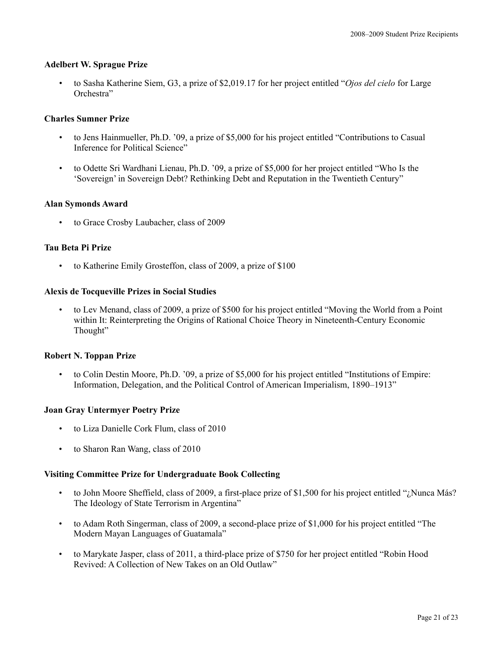## **Adelbert W. Sprague Prize**

• to Sasha Katherine Siem, G3, a prize of \$2,019.17 for her project entitled "*Ojos del cielo* for Large Orchestra"

## **Charles Sumner Prize**

- to Jens Hainmueller, Ph.D. '09, a prize of \$5,000 for his project entitled "Contributions to Casual Inference for Political Science"
- to Odette Sri Wardhani Lienau, Ph.D. '09, a prize of \$5,000 for her project entitled "Who Is the 'Sovereign' in Sovereign Debt? Rethinking Debt and Reputation in the Twentieth Century"

## **Alan Symonds Award**

• to Grace Crosby Laubacher, class of 2009

## **Tau Beta Pi Prize**

to Katherine Emily Grosteffon, class of 2009, a prize of \$100

## **Alexis de Tocqueville Prizes in Social Studies**

• to Lev Menand, class of 2009, a prize of \$500 for his project entitled "Moving the World from a Point within It: Reinterpreting the Origins of Rational Choice Theory in Nineteenth-Century Economic Thought"

#### **Robert N. Toppan Prize**

• to Colin Destin Moore, Ph.D. '09, a prize of \$5,000 for his project entitled "Institutions of Empire: Information, Delegation, and the Political Control of American Imperialism, 1890–1913"

#### **Joan Gray Untermyer Poetry Prize**

- to Liza Danielle Cork Flum, class of 2010
- to Sharon Ran Wang, class of 2010

## **Visiting Committee Prize for Undergraduate Book Collecting**

- to John Moore Sheffield, class of 2009, a first-place prize of \$1,500 for his project entitled "¿Nunca Más? The Ideology of State Terrorism in Argentina"
- to Adam Roth Singerman, class of 2009, a second-place prize of \$1,000 for his project entitled "The Modern Mayan Languages of Guatamala"
- to Marykate Jasper, class of 2011, a third-place prize of \$750 for her project entitled "Robin Hood Revived: A Collection of New Takes on an Old Outlaw"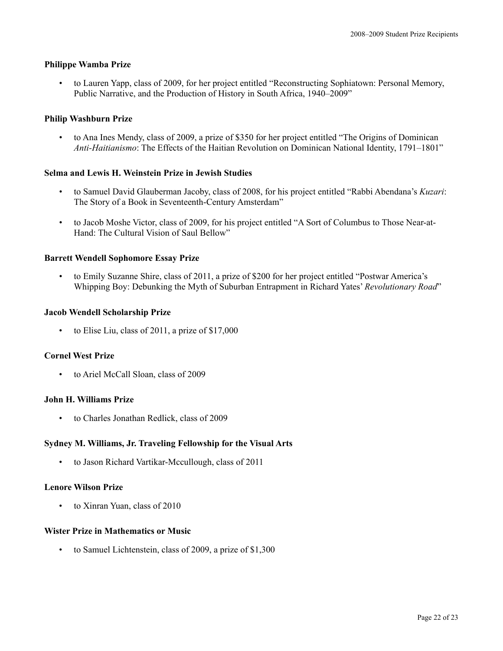## **Philippe Wamba Prize**

• to Lauren Yapp, class of 2009, for her project entitled "Reconstructing Sophiatown: Personal Memory, Public Narrative, and the Production of History in South Africa, 1940–2009"

## **Philip Washburn Prize**

• to Ana Ines Mendy, class of 2009, a prize of \$350 for her project entitled "The Origins of Dominican *Anti-Haitianismo*: The Effects of the Haitian Revolution on Dominican National Identity, 1791–1801"

#### **Selma and Lewis H. Weinstein Prize in Jewish Studies**

- to Samuel David Glauberman Jacoby, class of 2008, for his project entitled "Rabbi Abendana's *Kuzari*: The Story of a Book in Seventeenth-Century Amsterdam"
- to Jacob Moshe Victor, class of 2009, for his project entitled "A Sort of Columbus to Those Near-at-Hand: The Cultural Vision of Saul Bellow"

## **Barrett Wendell Sophomore Essay Prize**

• to Emily Suzanne Shire, class of 2011, a prize of \$200 for her project entitled "Postwar America's Whipping Boy: Debunking the Myth of Suburban Entrapment in Richard Yates' *Revolutionary Road*"

#### **Jacob Wendell Scholarship Prize**

• to Elise Liu, class of 2011, a prize of \$17,000

#### **Cornel West Prize**

• to Ariel McCall Sloan, class of 2009

## **John H. Williams Prize**

• to Charles Jonathan Redlick, class of 2009

## **Sydney M. Williams, Jr. Traveling Fellowship for the Visual Arts**

• to Jason Richard Vartikar-Mccullough, class of 2011

#### **Lenore Wilson Prize**

to Xinran Yuan, class of 2010

## **Wister Prize in Mathematics or Music**

• to Samuel Lichtenstein, class of 2009, a prize of \$1,300